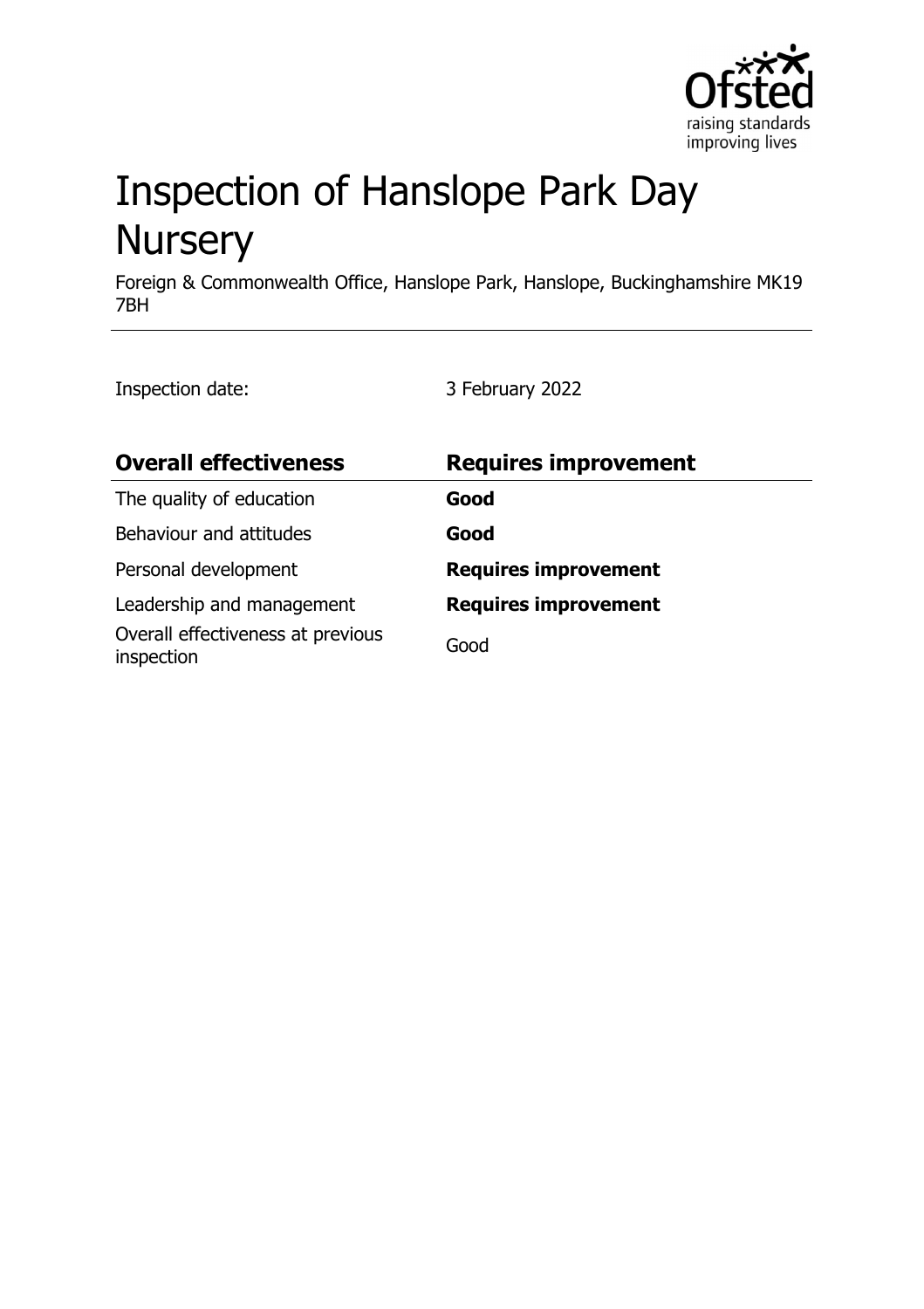

# Inspection of Hanslope Park Day **Nursery**

Foreign & Commonwealth Office, Hanslope Park, Hanslope, Buckinghamshire MK19 7BH

Inspection date: 3 February 2022

| <b>Overall effectiveness</b>                    | <b>Requires improvement</b> |
|-------------------------------------------------|-----------------------------|
| The quality of education                        | Good                        |
| Behaviour and attitudes                         | Good                        |
| Personal development                            | <b>Requires improvement</b> |
| Leadership and management                       | <b>Requires improvement</b> |
| Overall effectiveness at previous<br>inspection | Good                        |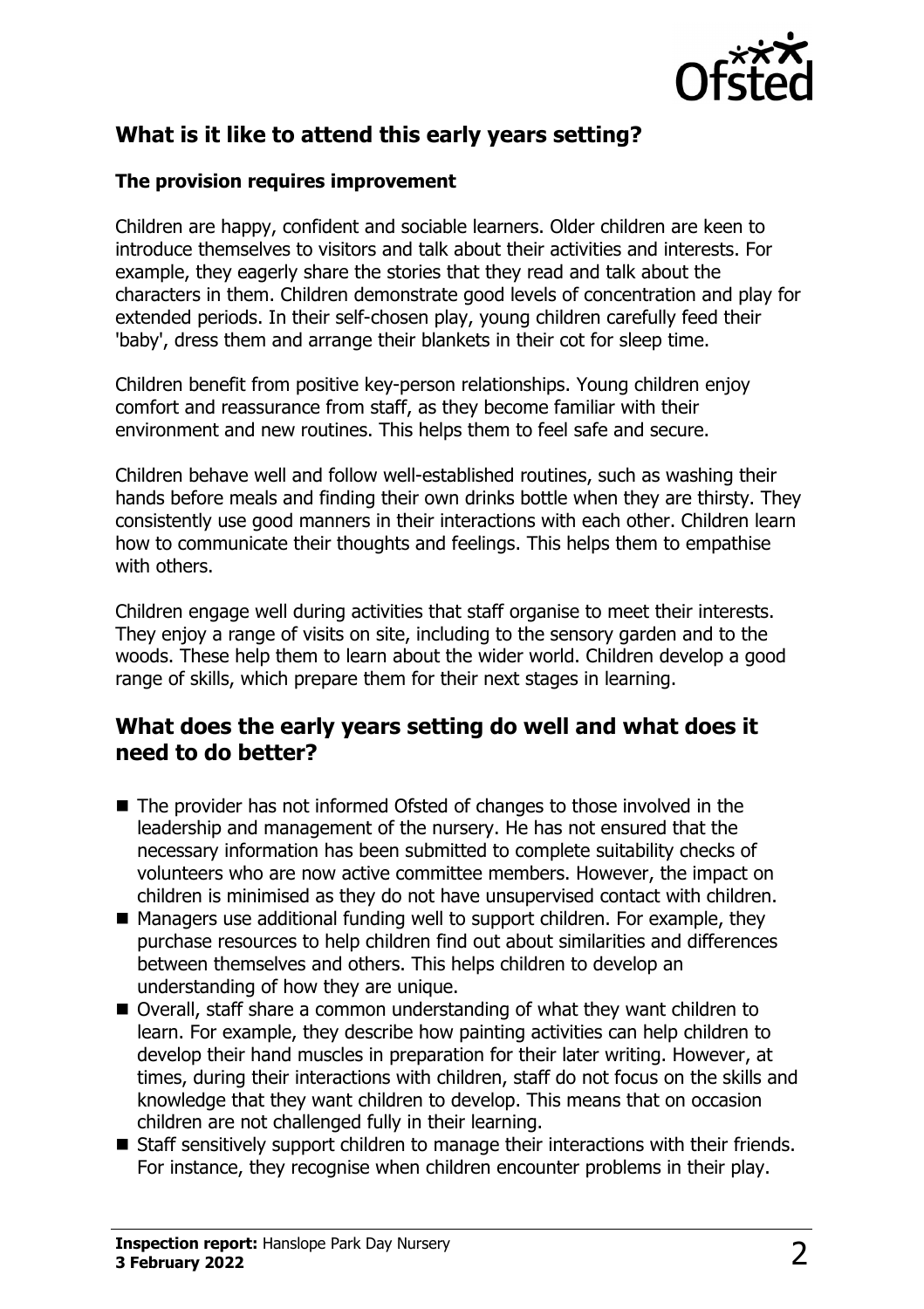

# **What is it like to attend this early years setting?**

#### **The provision requires improvement**

Children are happy, confident and sociable learners. Older children are keen to introduce themselves to visitors and talk about their activities and interests. For example, they eagerly share the stories that they read and talk about the characters in them. Children demonstrate good levels of concentration and play for extended periods. In their self-chosen play, young children carefully feed their 'baby', dress them and arrange their blankets in their cot for sleep time.

Children benefit from positive key-person relationships. Young children enjoy comfort and reassurance from staff, as they become familiar with their environment and new routines. This helps them to feel safe and secure.

Children behave well and follow well-established routines, such as washing their hands before meals and finding their own drinks bottle when they are thirsty. They consistently use good manners in their interactions with each other. Children learn how to communicate their thoughts and feelings. This helps them to empathise with others.

Children engage well during activities that staff organise to meet their interests. They enjoy a range of visits on site, including to the sensory garden and to the woods. These help them to learn about the wider world. Children develop a good range of skills, which prepare them for their next stages in learning.

## **What does the early years setting do well and what does it need to do better?**

- $\blacksquare$  The provider has not informed Ofsted of changes to those involved in the leadership and management of the nursery. He has not ensured that the necessary information has been submitted to complete suitability checks of volunteers who are now active committee members. However, the impact on children is minimised as they do not have unsupervised contact with children.
- $\blacksquare$  Managers use additional funding well to support children. For example, they purchase resources to help children find out about similarities and differences between themselves and others. This helps children to develop an understanding of how they are unique.
- Overall, staff share a common understanding of what they want children to learn. For example, they describe how painting activities can help children to develop their hand muscles in preparation for their later writing. However, at times, during their interactions with children, staff do not focus on the skills and knowledge that they want children to develop. This means that on occasion children are not challenged fully in their learning.
- Staff sensitively support children to manage their interactions with their friends. For instance, they recognise when children encounter problems in their play.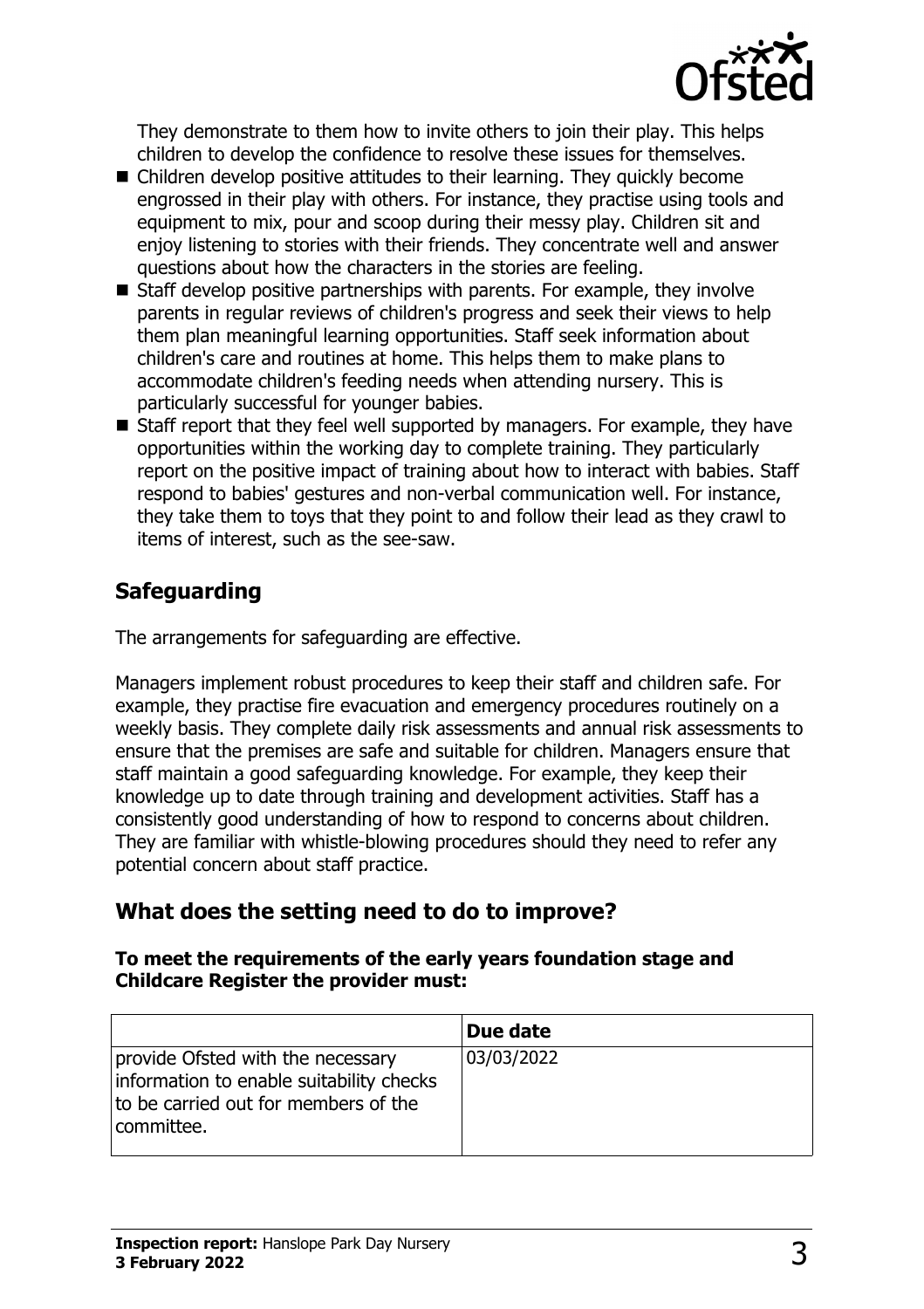

They demonstrate to them how to invite others to join their play. This helps children to develop the confidence to resolve these issues for themselves.

- $\blacksquare$  Children develop positive attitudes to their learning. They quickly become engrossed in their play with others. For instance, they practise using tools and equipment to mix, pour and scoop during their messy play. Children sit and enjoy listening to stories with their friends. They concentrate well and answer questions about how the characters in the stories are feeling.
- $\blacksquare$  Staff develop positive partnerships with parents. For example, they involve parents in regular reviews of children's progress and seek their views to help them plan meaningful learning opportunities. Staff seek information about children's care and routines at home. This helps them to make plans to accommodate children's feeding needs when attending nursery. This is particularly successful for younger babies.
- $\blacksquare$  Staff report that they feel well supported by managers. For example, they have opportunities within the working day to complete training. They particularly report on the positive impact of training about how to interact with babies. Staff respond to babies' gestures and non-verbal communication well. For instance, they take them to toys that they point to and follow their lead as they crawl to items of interest, such as the see-saw.

## **Safeguarding**

The arrangements for safeguarding are effective.

Managers implement robust procedures to keep their staff and children safe. For example, they practise fire evacuation and emergency procedures routinely on a weekly basis. They complete daily risk assessments and annual risk assessments to ensure that the premises are safe and suitable for children. Managers ensure that staff maintain a good safeguarding knowledge. For example, they keep their knowledge up to date through training and development activities. Staff has a consistently good understanding of how to respond to concerns about children. They are familiar with whistle-blowing procedures should they need to refer any potential concern about staff practice.

## **What does the setting need to do to improve?**

#### **To meet the requirements of the early years foundation stage and Childcare Register the provider must:**

|                                                                                                                                     | Due date   |
|-------------------------------------------------------------------------------------------------------------------------------------|------------|
| provide Ofsted with the necessary<br>information to enable suitability checks<br>to be carried out for members of the<br>committee. | 03/03/2022 |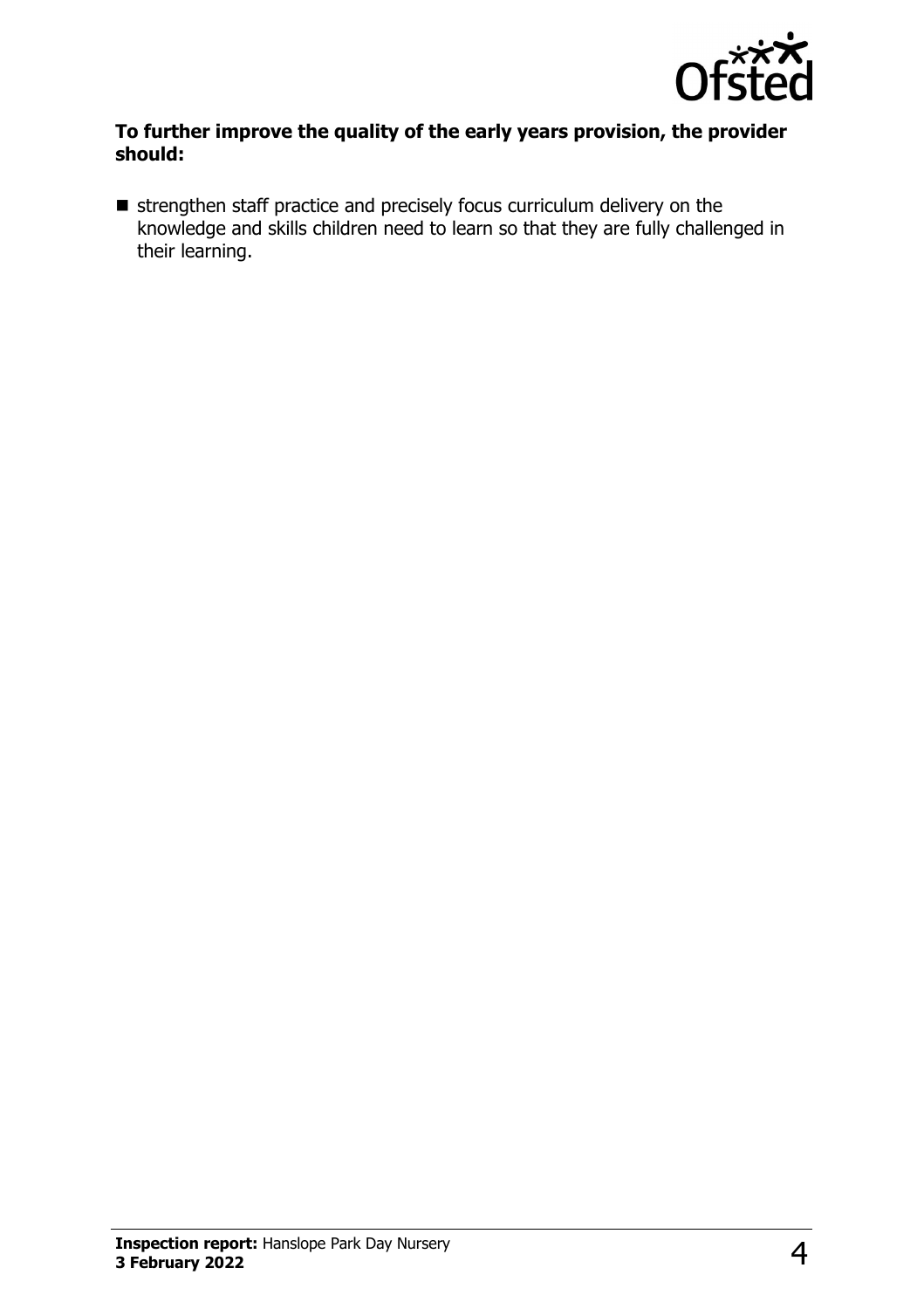

#### **To further improve the quality of the early years provision, the provider should:**

 $\blacksquare$  strengthen staff practice and precisely focus curriculum delivery on the knowledge and skills children need to learn so that they are fully challenged in their learning.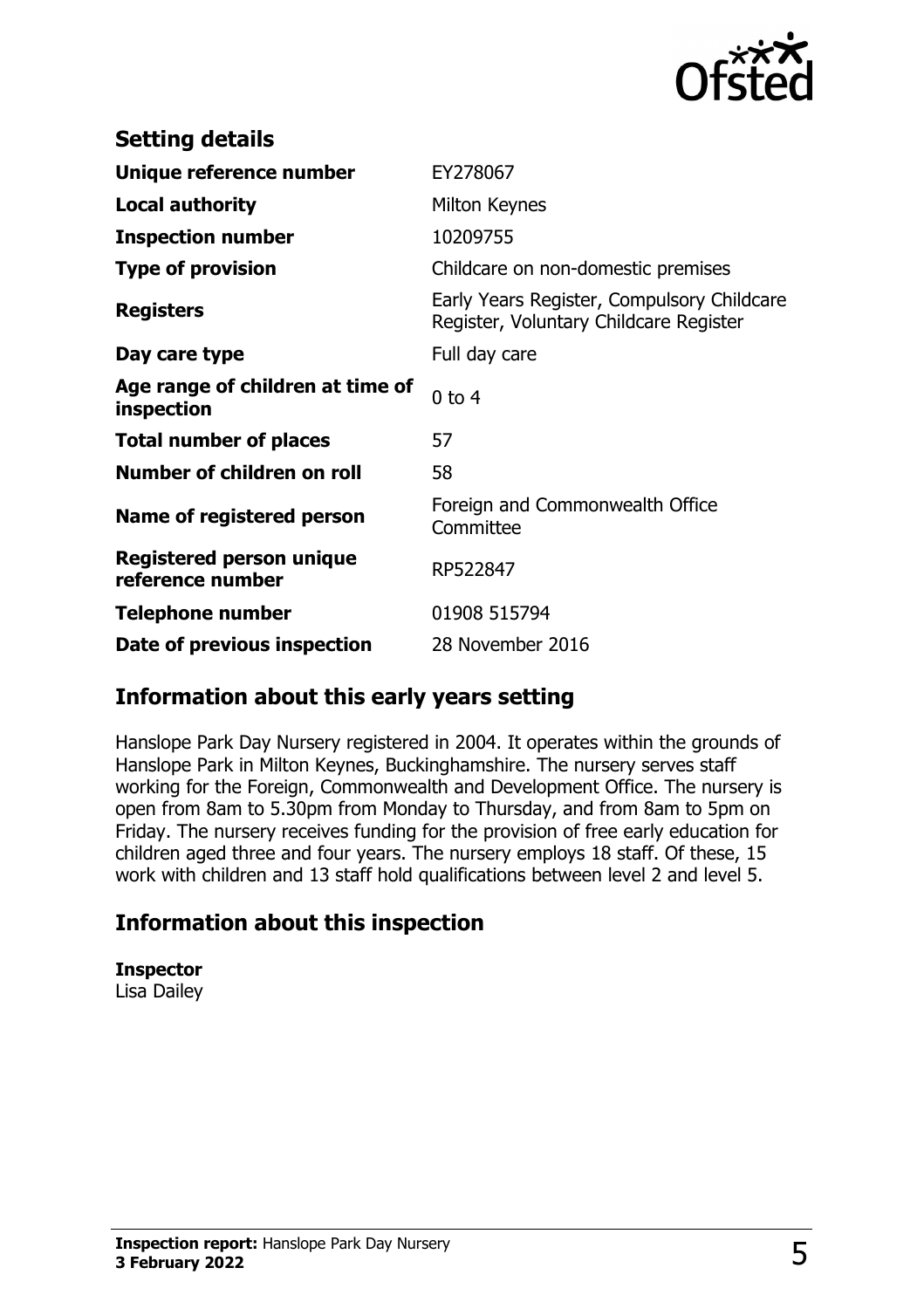

| <b>Setting details</b>                              |                                                                                      |
|-----------------------------------------------------|--------------------------------------------------------------------------------------|
| Unique reference number                             | EY278067                                                                             |
| <b>Local authority</b>                              | Milton Keynes                                                                        |
| <b>Inspection number</b>                            | 10209755                                                                             |
| <b>Type of provision</b>                            | Childcare on non-domestic premises                                                   |
| <b>Registers</b>                                    | Early Years Register, Compulsory Childcare<br>Register, Voluntary Childcare Register |
| Day care type                                       | Full day care                                                                        |
| Age range of children at time of<br>inspection      | $0$ to 4                                                                             |
| <b>Total number of places</b>                       | 57                                                                                   |
| Number of children on roll                          | 58                                                                                   |
| Name of registered person                           | Foreign and Commonwealth Office<br>Committee                                         |
| <b>Registered person unique</b><br>reference number | RP522847                                                                             |
| <b>Telephone number</b>                             | 01908 515794                                                                         |
| Date of previous inspection                         | 28 November 2016                                                                     |

## **Information about this early years setting**

Hanslope Park Day Nursery registered in 2004. It operates within the grounds of Hanslope Park in Milton Keynes, Buckinghamshire. The nursery serves staff working for the Foreign, Commonwealth and Development Office. The nursery is open from 8am to 5.30pm from Monday to Thursday, and from 8am to 5pm on Friday. The nursery receives funding for the provision of free early education for children aged three and four years. The nursery employs 18 staff. Of these, 15 work with children and 13 staff hold qualifications between level 2 and level 5.

## **Information about this inspection**

**Inspector** Lisa Dailey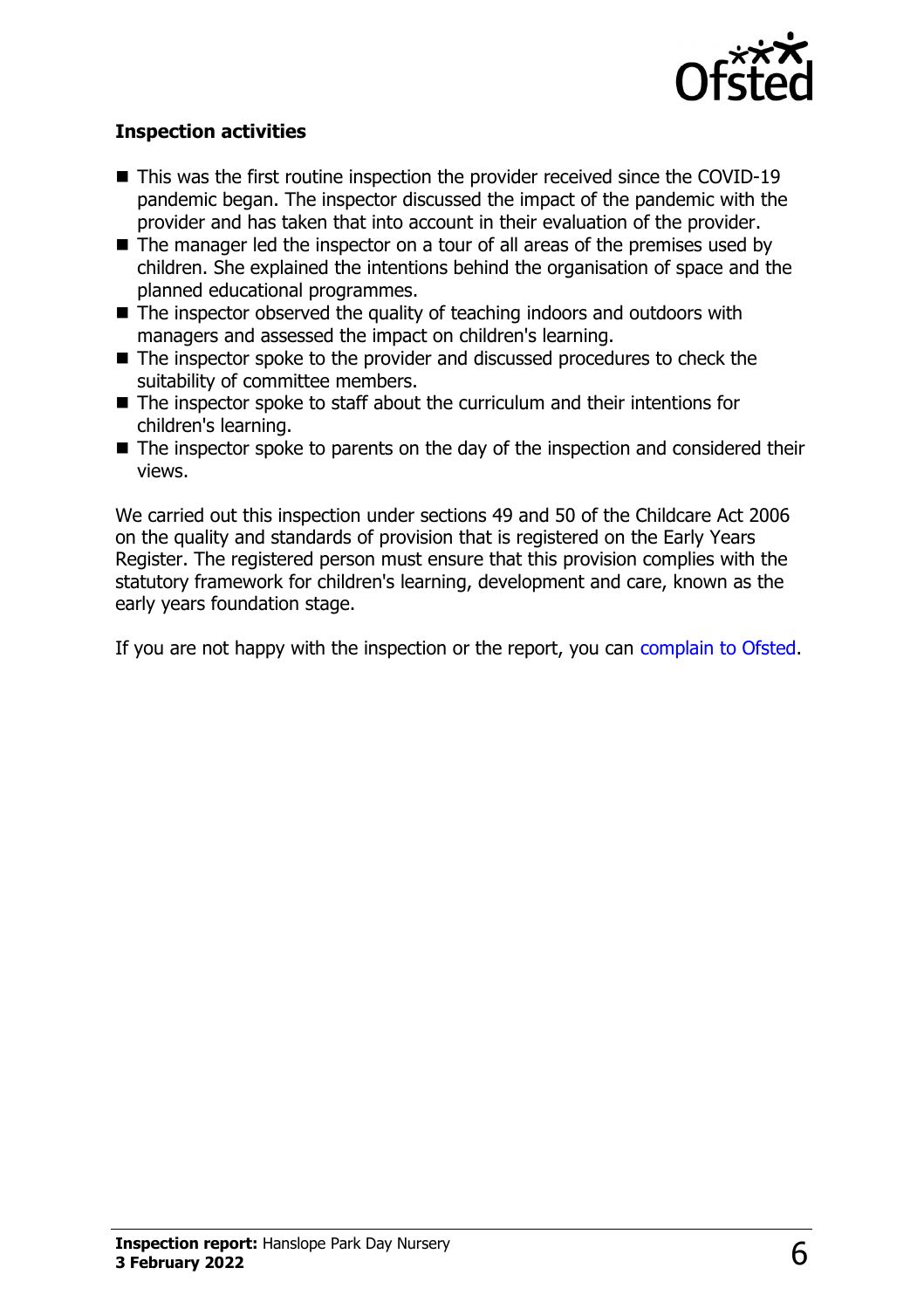

### **Inspection activities**

- $\blacksquare$  This was the first routine inspection the provider received since the COVID-19 pandemic began. The inspector discussed the impact of the pandemic with the provider and has taken that into account in their evaluation of the provider.
- $\blacksquare$  The manager led the inspector on a tour of all areas of the premises used by children. She explained the intentions behind the organisation of space and the planned educational programmes.
- $\blacksquare$  The inspector observed the quality of teaching indoors and outdoors with managers and assessed the impact on children's learning.
- $\blacksquare$  The inspector spoke to the provider and discussed procedures to check the suitability of committee members.
- $\blacksquare$  The inspector spoke to staff about the curriculum and their intentions for children's learning.
- $\blacksquare$  The inspector spoke to parents on the day of the inspection and considered their views.

We carried out this inspection under sections 49 and 50 of the Childcare Act 2006 on the quality and standards of provision that is registered on the Early Years Register. The registered person must ensure that this provision complies with the statutory framework for children's learning, development and care, known as the early years foundation stage.

If you are not happy with the inspection or the report, you can [complain to Ofsted](http://www.gov.uk/complain-ofsted-report).